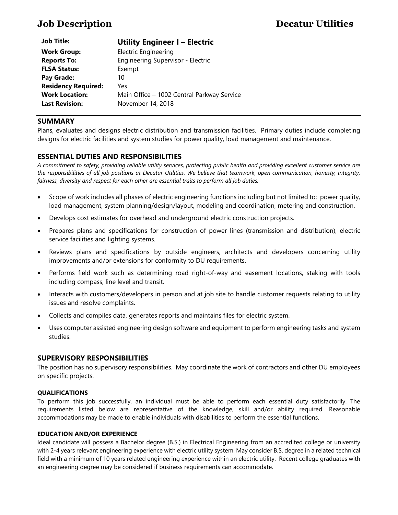| <b>Job Title:</b>          | <b>Utility Engineer I - Electric</b>       |
|----------------------------|--------------------------------------------|
| <b>Work Group:</b>         | <b>Electric Engineering</b>                |
| <b>Reports To:</b>         | Engineering Supervisor - Electric          |
| <b>FLSA Status:</b>        | Exempt                                     |
| Pay Grade:                 | 10                                         |
| <b>Residency Required:</b> | Yes                                        |
| <b>Work Location:</b>      | Main Office - 1002 Central Parkway Service |
| <b>Last Revision:</b>      | November 14, 2018                          |

# **SUMMARY**

Plans, evaluates and designs electric distribution and transmission facilities. Primary duties include completing designs for electric facilities and system studies for power quality, load management and maintenance.

# **ESSENTIAL DUTIES AND RESPONSIBILITIES**

*A commitment to safety, providing reliable utility services, protecting public health and providing excellent customer service are the responsibilities of all job positions at Decatur Utilities. We believe that teamwork, open communication, honesty, integrity, fairness, diversity and respect for each other are essential traits to perform all job duties.*

- Scope of work includes all phases of electric engineering functions including but not limited to: power quality, load management, system planning/design/layout, modeling and coordination, metering and construction.
- Develops cost estimates for overhead and underground electric construction projects.
- Prepares plans and specifications for construction of power lines (transmission and distribution), electric service facilities and lighting systems.
- Reviews plans and specifications by outside engineers, architects and developers concerning utility improvements and/or extensions for conformity to DU requirements.
- Performs field work such as determining road right-of-way and easement locations, staking with tools including compass, line level and transit.
- Interacts with customers/developers in person and at job site to handle customer requests relating to utility issues and resolve complaints.
- Collects and compiles data, generates reports and maintains files for electric system.
- Uses computer assisted engineering design software and equipment to perform engineering tasks and system studies.

## **SUPERVISORY RESPONSIBILITIES**

The position has no supervisory responsibilities. May coordinate the work of contractors and other DU employees on specific projects.

#### **QUALIFICATIONS**

To perform this job successfully, an individual must be able to perform each essential duty satisfactorily. The requirements listed below are representative of the knowledge, skill and/or ability required. Reasonable accommodations may be made to enable individuals with disabilities to perform the essential functions.

#### **EDUCATION AND/OR EXPERIENCE**

Ideal candidate will possess a Bachelor degree (B.S.) in Electrical Engineering from an accredited college or university with 2-4 years relevant engineering experience with electric utility system. May consider B.S. degree in a related technical field with a minimum of 10 years related engineering experience within an electric utility. Recent college graduates with an engineering degree may be considered if business requirements can accommodate.